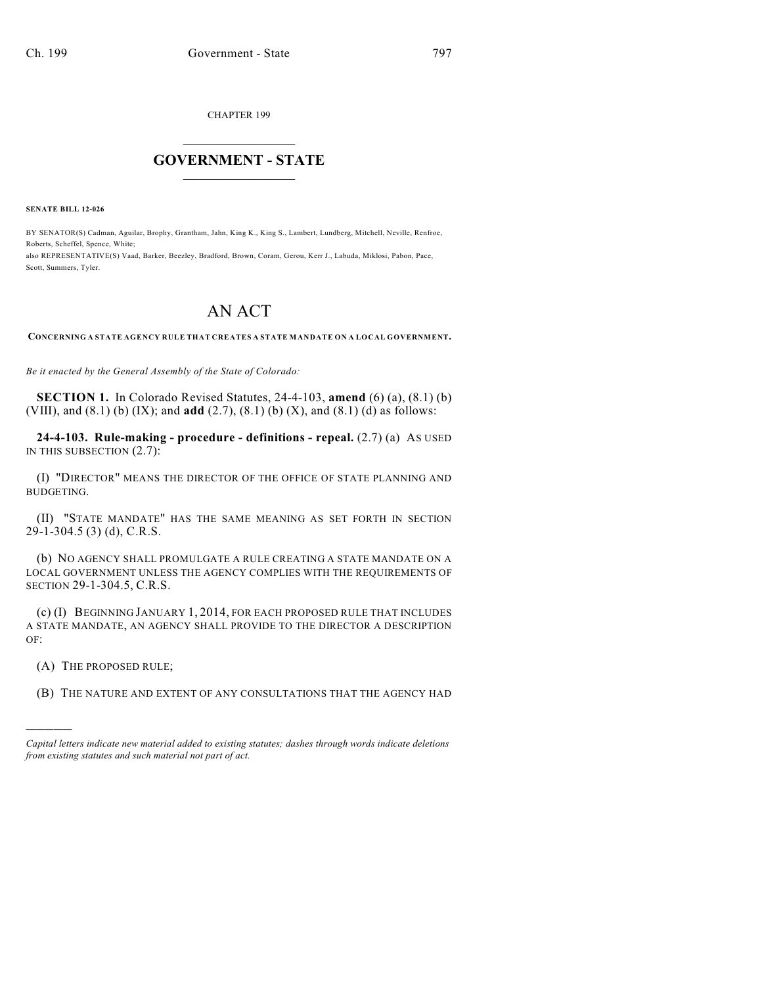CHAPTER 199

## $\mathcal{L}_\text{max}$  . The set of the set of the set of the set of the set of the set of the set of the set of the set of the set of the set of the set of the set of the set of the set of the set of the set of the set of the set **GOVERNMENT - STATE**  $\_$   $\_$   $\_$   $\_$   $\_$   $\_$   $\_$   $\_$

**SENATE BILL 12-026**

BY SENATOR(S) Cadman, Aguilar, Brophy, Grantham, Jahn, King K., King S., Lambert, Lundberg, Mitchell, Neville, Renfroe, Roberts, Scheffel, Spence, White;

also REPRESENTATIVE(S) Vaad, Barker, Beezley, Bradford, Brown, Coram, Gerou, Kerr J., Labuda, Miklosi, Pabon, Pace, Scott, Summers, Tyler.

## AN ACT

**CONCERNING A STATE AGENCY RULE THAT CREATES A STATE MANDATE ON A LOCAL GOVERNMENT.**

*Be it enacted by the General Assembly of the State of Colorado:*

**SECTION 1.** In Colorado Revised Statutes, 24-4-103, **amend** (6) (a), (8.1) (b) (VIII), and (8.1) (b) (IX); and **add** (2.7), (8.1) (b) (X), and (8.1) (d) as follows:

**24-4-103. Rule-making - procedure - definitions - repeal.** (2.7) (a) AS USED IN THIS SUBSECTION (2.7):

(I) "DIRECTOR" MEANS THE DIRECTOR OF THE OFFICE OF STATE PLANNING AND BUDGETING.

(II) "STATE MANDATE" HAS THE SAME MEANING AS SET FORTH IN SECTION 29-1-304.5 (3) (d), C.R.S.

(b) NO AGENCY SHALL PROMULGATE A RULE CREATING A STATE MANDATE ON A LOCAL GOVERNMENT UNLESS THE AGENCY COMPLIES WITH THE REQUIREMENTS OF SECTION 29-1-304.5, C.R.S.

(c) (I) BEGINNING JANUARY 1, 2014, FOR EACH PROPOSED RULE THAT INCLUDES A STATE MANDATE, AN AGENCY SHALL PROVIDE TO THE DIRECTOR A DESCRIPTION OF:

(A) THE PROPOSED RULE;

)))))

(B) THE NATURE AND EXTENT OF ANY CONSULTATIONS THAT THE AGENCY HAD

*Capital letters indicate new material added to existing statutes; dashes through words indicate deletions from existing statutes and such material not part of act.*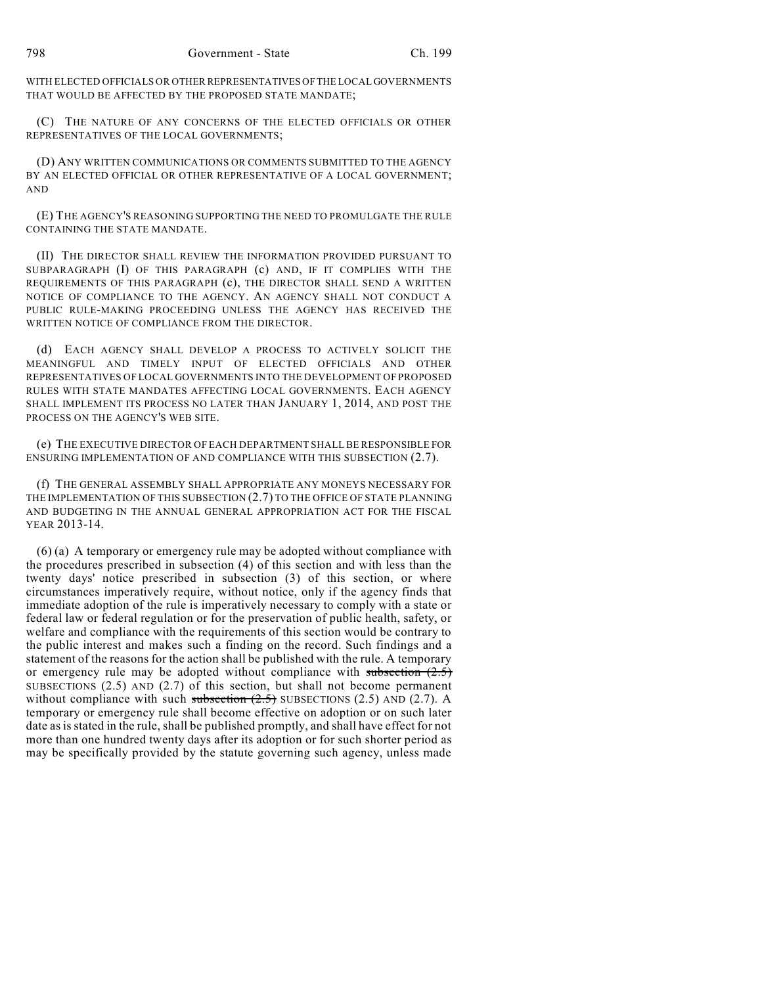WITH ELECTED OFFICIALS OR OTHER REPRESENTATIVES OFTHE LOCAL GOVERNMENTS THAT WOULD BE AFFECTED BY THE PROPOSED STATE MANDATE;

(C) THE NATURE OF ANY CONCERNS OF THE ELECTED OFFICIALS OR OTHER REPRESENTATIVES OF THE LOCAL GOVERNMENTS;

(D) ANY WRITTEN COMMUNICATIONS OR COMMENTS SUBMITTED TO THE AGENCY BY AN ELECTED OFFICIAL OR OTHER REPRESENTATIVE OF A LOCAL GOVERNMENT; AND

(E) THE AGENCY'S REASONING SUPPORTING THE NEED TO PROMULGATE THE RULE CONTAINING THE STATE MANDATE.

(II) THE DIRECTOR SHALL REVIEW THE INFORMATION PROVIDED PURSUANT TO SUBPARAGRAPH (I) OF THIS PARAGRAPH (c) AND, IF IT COMPLIES WITH THE REQUIREMENTS OF THIS PARAGRAPH (c), THE DIRECTOR SHALL SEND A WRITTEN NOTICE OF COMPLIANCE TO THE AGENCY. AN AGENCY SHALL NOT CONDUCT A PUBLIC RULE-MAKING PROCEEDING UNLESS THE AGENCY HAS RECEIVED THE WRITTEN NOTICE OF COMPLIANCE FROM THE DIRECTOR.

(d) EACH AGENCY SHALL DEVELOP A PROCESS TO ACTIVELY SOLICIT THE MEANINGFUL AND TIMELY INPUT OF ELECTED OFFICIALS AND OTHER REPRESENTATIVES OF LOCAL GOVERNMENTS INTO THE DEVELOPMENT OF PROPOSED RULES WITH STATE MANDATES AFFECTING LOCAL GOVERNMENTS. EACH AGENCY SHALL IMPLEMENT ITS PROCESS NO LATER THAN JANUARY 1, 2014, AND POST THE PROCESS ON THE AGENCY'S WEB SITE.

(e) THE EXECUTIVE DIRECTOR OF EACH DEPARTMENT SHALL BE RESPONSIBLE FOR ENSURING IMPLEMENTATION OF AND COMPLIANCE WITH THIS SUBSECTION (2.7).

(f) THE GENERAL ASSEMBLY SHALL APPROPRIATE ANY MONEYS NECESSARY FOR THE IMPLEMENTATION OF THIS SUBSECTION (2.7) TO THE OFFICE OF STATE PLANNING AND BUDGETING IN THE ANNUAL GENERAL APPROPRIATION ACT FOR THE FISCAL YEAR 2013-14.

(6) (a) A temporary or emergency rule may be adopted without compliance with the procedures prescribed in subsection (4) of this section and with less than the twenty days' notice prescribed in subsection (3) of this section, or where circumstances imperatively require, without notice, only if the agency finds that immediate adoption of the rule is imperatively necessary to comply with a state or federal law or federal regulation or for the preservation of public health, safety, or welfare and compliance with the requirements of this section would be contrary to the public interest and makes such a finding on the record. Such findings and a statement of the reasons for the action shall be published with the rule. A temporary or emergency rule may be adopted without compliance with subsection  $(2.5)$ SUBSECTIONS (2.5) AND (2.7) of this section, but shall not become permanent without compliance with such subsection  $(2.5)$  SUBSECTIONS (2.5) AND (2.7). A temporary or emergency rule shall become effective on adoption or on such later date as is stated in the rule, shall be published promptly, and shall have effect for not more than one hundred twenty days after its adoption or for such shorter period as may be specifically provided by the statute governing such agency, unless made